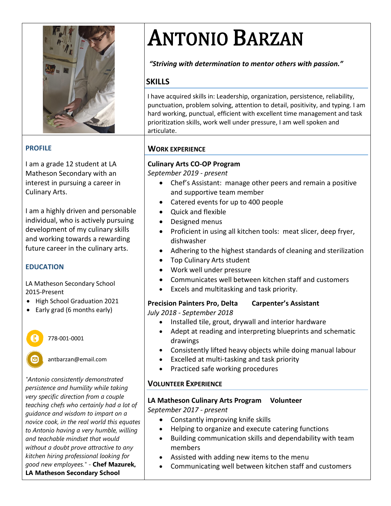

#### **PROFILE**

I am a grade 12 student at LA Matheson Secondary with an interest in pursuing a career in Culinary Arts.

I am a highly driven and personable individual, who is actively pursuing development of my culinary skills and working towards a rewarding future career in the culinary arts.

#### **EDUCATION**

LA Matheson Secondary School 2015-Present

- High School Graduation 2021
- Early grad (6 months early)



antbarzan@email.com

*"Antonio consistently demonstrated persistence and humility while taking very specific direction from a couple teaching chefs who certainly had a lot of guidance and wisdom to impart on a novice cook, in the real world this equates to Antonio having a very humble, willing and teachable mindset that would without a doubt prove attractive to any kitchen hiring professional looking for good new employees."* - **Chef Mazurek, LA Matheson Secondary School**

# ANTONIO BARZAN

*"Striving with determination to mentor others with passion."*

#### **SKILLS**

 I have acquired skills in: Leadership, organization, persistence, reliability, punctuation, problem solving, attention to detail, positivity, and typing. I am hard working, punctual, efficient with excellent time management and task prioritization skills, work well under pressure, I am well spoken and articulate.

#### **WORK EXPERIENCE**

### **Culinary Arts CO-OP Program**

*September 2019 - present*

- Chef's Assistant: manage other peers and remain a positive and supportive team member
- Catered events for up to 400 people
- Quick and flexible
- Designed menus
- Proficient in using all kitchen tools: meat slicer, deep fryer, dishwasher
- Adhering to the highest standards of cleaning and sterilization
- Top Culinary Arts student
- Work well under pressure
- Communicates well between kitchen staff and customers
- Excels and multitasking and task priority.

#### **Precision Painters Pro, Delta Carpenter's Assistant**

*July 2018 - September 2018*

- Installed tile, grout, drywall and interior hardware
- Adept at reading and interpreting blueprints and schematic drawings
- Consistently lifted heavy objects while doing manual labour
- Excelled at multi-tasking and task priority
- Practiced safe working procedures

#### **VOLUNTEER EXPERIENCE**

## **LA Matheson Culinary Arts Program Volunteer**

*September 2017 - present*

- Constantly improving knife skills
- Helping to organize and execute catering functions
- Building communication skills and dependability with team members
- Assisted with adding new items to the menu
- Communicating well between kitchen staff and customers